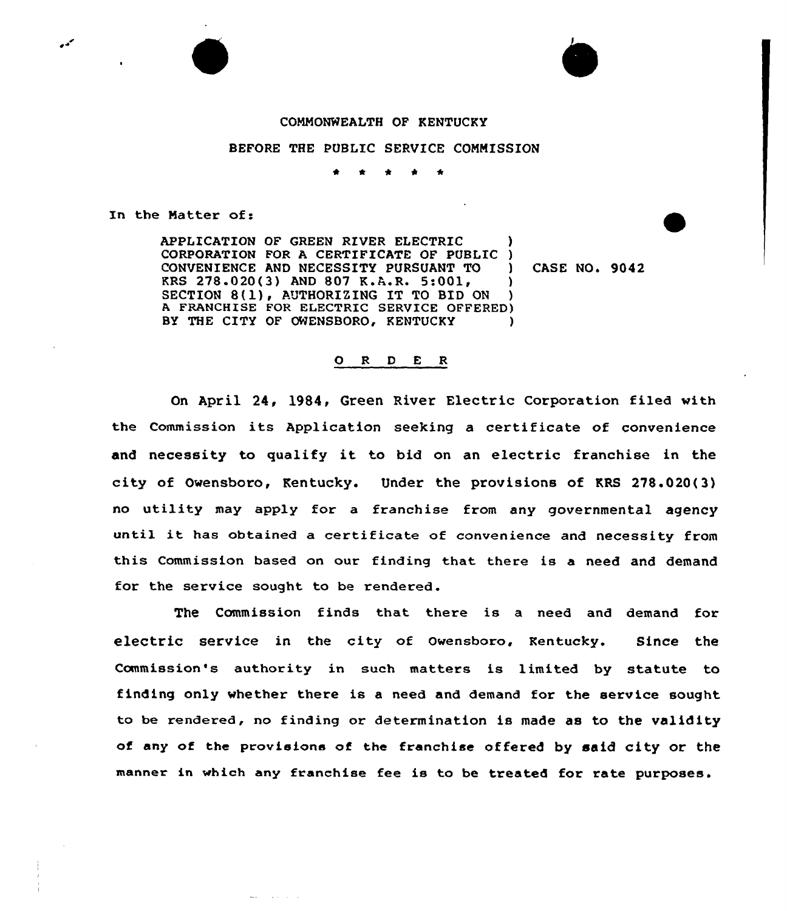## COMMONWEALTH OF KENTUCKY

BEFORE THE PUBLIC SERVICE COMMISSION

\* <sup>4</sup> \* <sup>4</sup> \*

In the Matter of:

ممد

APPLICATION OF GREEN RIVER ELECTRIC ) CORPORATION FOR A CERTIFICATE OF PUBLIC CONVENIENCE AND NECESSITY PURSUANT TO ) CASE NO. 9042<br>KRS 278.020(3) AND 807 K.A.R. 5:001, ) KRS 278.020(3) AND 807 K.A.R. 5:001, SECTION 8(1), AUTHORIZING IT TO BID ON ) A FRANCHISE FOR ELECTRIC SERVICE OFFERED) BY THE CITY OF OWENSBORO, KENTUCKY )

## O R D E R

On April 24, l984, Green River Electric Corporation filed with the Commission its Application seeking <sup>a</sup> certificate of convenience and necessity to qualify it to bid on an electric franchise in the city of Owensboro, Kentucky. Under the provisions of KRS 278.020(3) no utility may apply for a franchise from any governmental agency until it has obtained <sup>a</sup> certificate of convenience and necessity from this Commission based on our finding that there is a need and demand for the service sought to be rendered.

The Commission finds that there is a need and demand for electric service in the city of Owensboro, Kentucky. Since the Commission's authority in such matters is limited by statute to finding only whether there is a need and demand for the service sought to be rendered, no finding or determination is made as to the validity of any of the provisions of the franchise offered by said city or the manner in which any franchise fee is to be treated for rate purposes.